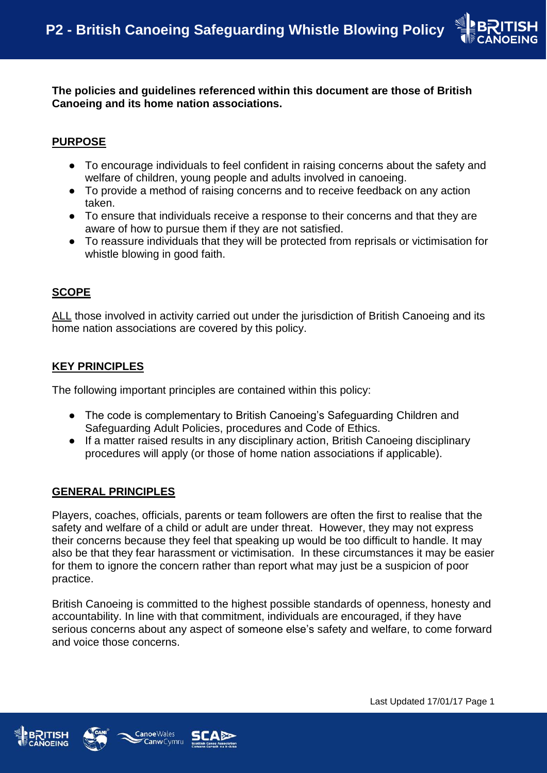

**The policies and guidelines referenced within this document are those of British Canoeing and its home nation associations.**

### **PURPOSE**

- To encourage individuals to feel confident in raising concerns about the safety and welfare of children, young people and adults involved in canoeing.
- To provide a method of raising concerns and to receive feedback on any action taken.
- To ensure that individuals receive a response to their concerns and that they are aware of how to pursue them if they are not satisfied.
- To reassure individuals that they will be protected from reprisals or victimisation for whistle blowing in good faith.

#### **SCOPE**

ALL those involved in activity carried out under the jurisdiction of British Canoeing and its home nation associations are covered by this policy.

### **KEY PRINCIPLES**

The following important principles are contained within this policy:

- The code is complementary to British Canoeing's Safeguarding Children and Safeguarding Adult Policies, procedures and Code of Ethics.
- If a matter raised results in any disciplinary action, British Canoeing disciplinary procedures will apply (or those of home nation associations if applicable).

#### **GENERAL PRINCIPLES**

Players, coaches, officials, parents or team followers are often the first to realise that the safety and welfare of a child or adult are under threat. However, they may not express their concerns because they feel that speaking up would be too difficult to handle. It may also be that they fear harassment or victimisation. In these circumstances it may be easier for them to ignore the concern rather than report what may just be a suspicion of poor practice.

British Canoeing is committed to the highest possible standards of openness, honesty and accountability. In line with that commitment, individuals are encouraged, if they have serious concerns about any aspect of someone else's safety and welfare, to come forward and voice those concerns.





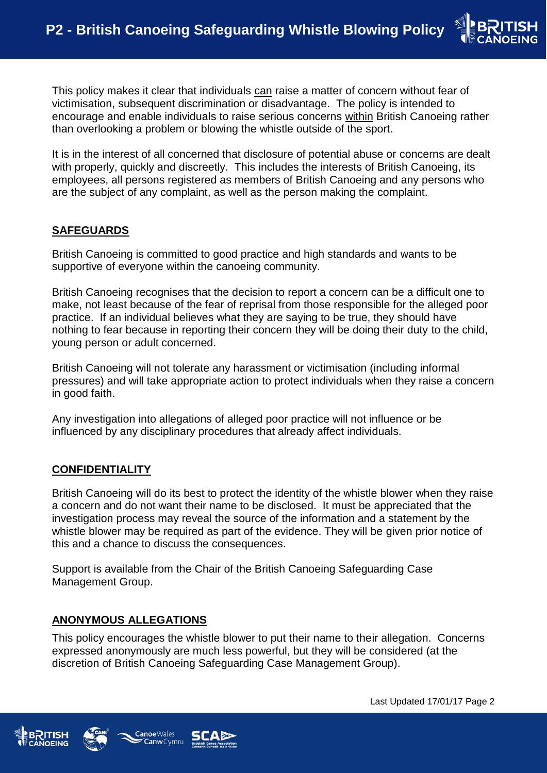This policy makes it clear that individuals can raise a matter of concern without fear of victimisation, subsequent discrimination or disadvantage. The policy is intended to encourage and enable individuals to raise serious concerns within British Canoeing rather than overlooking a problem or blowing the whistle outside of the sport.

It is in the interest of all concerned that disclosure of potential abuse or concerns are dealt with properly, quickly and discreetly. This includes the interests of British Canoeing, its employees, all persons registered as members of British Canoeing and any persons who are the subject of any complaint, as well as the person making the complaint.

### **SAFEGUARDS**

British Canoeing is committed to good practice and high standards and wants to be supportive of everyone within the canoeing community.

British Canoeing recognises that the decision to report a concern can be a difficult one to make, not least because of the fear of reprisal from those responsible for the alleged poor practice. If an individual believes what they are saying to be true, they should have nothing to fear because in reporting their concern they will be doing their duty to the child, young person or adult concerned.

British Canoeing will not tolerate any harassment or victimisation (including informal pressures) and will take appropriate action to protect individuals when they raise a concern in good faith.

Any investigation into allegations of alleged poor practice will not influence or be influenced by any disciplinary procedures that already affect individuals.

## **CONFIDENTIALITY**

British Canoeing will do its best to protect the identity of the whistle blower when they raise a concern and do not want their name to be disclosed. It must be appreciated that the investigation process may reveal the source of the information and a statement by the whistle blower may be required as part of the evidence. They will be given prior notice of this and a chance to discuss the consequences.

Support is available from the Chair of the British Canoeing Safeguarding Case Management Group.

## **ANONYMOUS ALLEGATIONS**

This policy encourages the whistle blower to put their name to their allegation. Concerns expressed anonymously are much less powerful, but they will be considered (at the discretion of British Canoeing Safeguarding Case Management Group).





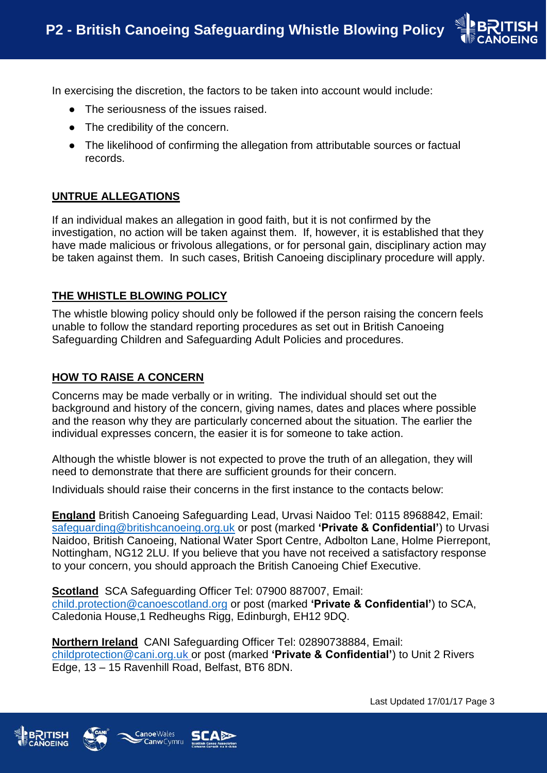

In exercising the discretion, the factors to be taken into account would include:

- The seriousness of the issues raised.
- The credibility of the concern.
- The likelihood of confirming the allegation from attributable sources or factual records.

# **UNTRUE ALLEGATIONS**

If an individual makes an allegation in good faith, but it is not confirmed by the investigation, no action will be taken against them. If, however, it is established that they have made malicious or frivolous allegations, or for personal gain, disciplinary action may be taken against them. In such cases, British Canoeing disciplinary procedure will apply.

## **THE WHISTLE BLOWING POLICY**

The whistle blowing policy should only be followed if the person raising the concern feels unable to follow the standard reporting procedures as set out in British Canoeing Safeguarding Children and Safeguarding Adult Policies and procedures.

# **HOW TO RAISE A CONCERN**

Concerns may be made verbally or in writing. The individual should set out the background and history of the concern, giving names, dates and places where possible and the reason why they are particularly concerned about the situation. The earlier the individual expresses concern, the easier it is for someone to take action.

Although the whistle blower is not expected to prove the truth of an allegation, they will need to demonstrate that there are sufficient grounds for their concern.

Individuals should raise their concerns in the first instance to the contacts below:

**England** British Canoeing Safeguarding Lead, Urvasi Naidoo Tel: 0115 8968842, Email: [safeguarding@britishcanoeing.org.uk](mailto:safeguarding@britishcanoeing.org.uk) or post (marked **'Private & Confidential'**) to Urvasi Naidoo, British Canoeing, National Water Sport Centre, Adbolton Lane, Holme Pierrepont, Nottingham, NG12 2LU. If you believe that you have not received a satisfactory response to your concern, you should approach the British Canoeing Chief Executive.

**Scotland** SCA Safeguarding Officer Tel: 07900 887007, Email: [child.protection@canoescotland.org](mailto:child.protection@canoescotland.org) or post (marked **'Private & Confidential'**) to SCA, Caledonia House,1 Redheughs Rigg, Edinburgh, EH12 9DQ.

**Northern Ireland** CANI Safeguarding Officer Tel: 02890738884, Email: [childprotection@cani.org.uk](mailto:childprotection@cani.org.u) or post (marked **'Private & Confidential'**) to Unit 2 Rivers Edge, 13 – 15 Ravenhill Road, Belfast, BT6 8DN.





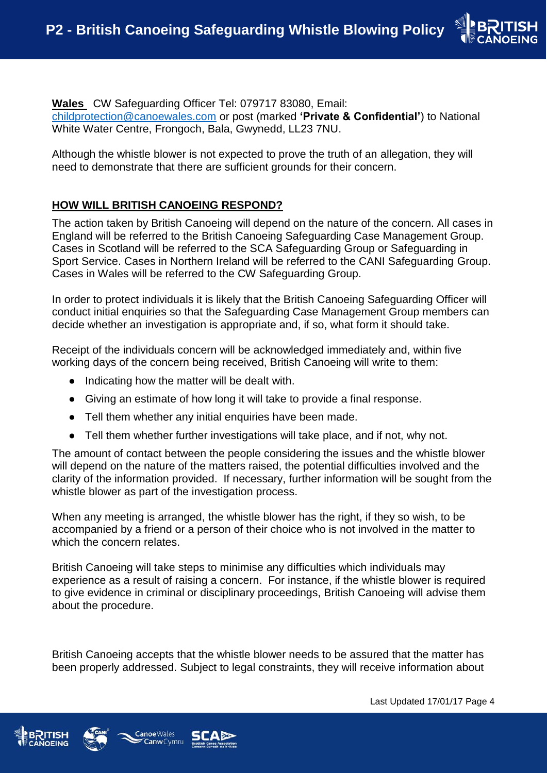

**Wales** CW Safeguarding Officer Tel: 079717 83080, Email: [childprotection@canoewales.com](mailto:childprotection@canoewales.com) or post (marked **'Private & Confidential'**) to National White Water Centre, Frongoch, Bala, Gwynedd, LL23 7NU.

Although the whistle blower is not expected to prove the truth of an allegation, they will need to demonstrate that there are sufficient grounds for their concern.

## **HOW WILL BRITISH CANOEING RESPOND?**

The action taken by British Canoeing will depend on the nature of the concern. All cases in England will be referred to the British Canoeing Safeguarding Case Management Group. Cases in Scotland will be referred to the SCA Safeguarding Group or Safeguarding in Sport Service. Cases in Northern Ireland will be referred to the CANI Safeguarding Group. Cases in Wales will be referred to the CW Safeguarding Group.

In order to protect individuals it is likely that the British Canoeing Safeguarding Officer will conduct initial enquiries so that the Safeguarding Case Management Group members can decide whether an investigation is appropriate and, if so, what form it should take.

Receipt of the individuals concern will be acknowledged immediately and, within five working days of the concern being received, British Canoeing will write to them:

- Indicating how the matter will be dealt with.
- Giving an estimate of how long it will take to provide a final response.
- Tell them whether any initial enquiries have been made.
- Tell them whether further investigations will take place, and if not, why not.

The amount of contact between the people considering the issues and the whistle blower will depend on the nature of the matters raised, the potential difficulties involved and the clarity of the information provided. If necessary, further information will be sought from the whistle blower as part of the investigation process.

When any meeting is arranged, the whistle blower has the right, if they so wish, to be accompanied by a friend or a person of their choice who is not involved in the matter to which the concern relates.

British Canoeing will take steps to minimise any difficulties which individuals may experience as a result of raising a concern. For instance, if the whistle blower is required to give evidence in criminal or disciplinary proceedings, British Canoeing will advise them about the procedure.

British Canoeing accepts that the whistle blower needs to be assured that the matter has been properly addressed. Subject to legal constraints, they will receive information about